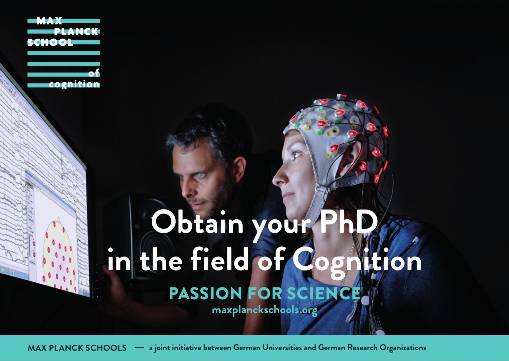# PASSION FOR SCIENCE **Obtain your P in the field of Cognition maxplanckschools.org**

**MAX PLANCK SCHOOLS a joint initiative between German Universities and German Research Organizations**

**PLANCK** 

cognition

**SCHOOL**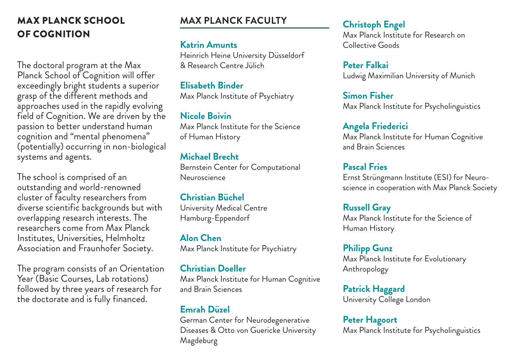### MAX PLANCK SCHOOL **MAX PLANCK FACULTY** OF COGNITION

The doctoral program at the Max Planck School of Cognition will offer exceedingly bright students a superior grasp of the different methods and approaches used in the rapidly evolving field of Cognition. We are driven by the passion to better understand human cognition and "mental phenomena" (potentially) occurring in non-biological systems and agents.

The school is comprised of an outstanding and world-renowned cluster of faculty researchers from diverse scientific backgrounds but with overlapping research interests. The researchers come from Max Planck Institutes, Universities, Helmholtz Association and Fraunhofer Society.

The program consists of an Orientation Year<sup>'</sup> (Basic Courses, Lab rotations) followed by three years of research for the doctorate and is fully financed.

#### **Katrin Amunts**

Heinrich Heine University Düsseldorf & Research Centre Jülich

**Elisabeth Binder** Max Planck Institute of Psychiatry

**Nicole Boivin** Max Planck Institute for the Science of Human History

**Michael Brecht** Bernstein Center for Computational Neuroscience

**Christian Büchel** University Medical Centre Hamburg-Eppendorf

**Alon Chen** Max Planck Institute for Psychiatry

**Christian Doeller** Max Planck Institute for Human Cognitive and Brain Sciences

#### **Emrah Düzel**

German Center for Neurodegenerative Diseases & Otto von Guericke University Magdeburg

#### **Christoph Engel**

Max Planck Institute for Research on Collective Goods

**Peter Falkai**  Ludwig Maximilian University of Munich

**Simon Fisher**  Max Planck Institute for Psycholinguistics

**Angela Friederici**  Max Planck Institute for Human Cognitive and Brain Sciences

**Pascal Fries**  Ernst Strüngmann Institute (ESI) for Neuroscience in cooperation with Max Planck Society

**Russell Gray**  Max Planck Institute for the Science of Human History

**Philipp Gunz** Max Planck Institute for Evolutionary Anthropology

**Patrick Haggard**  University College London

**Peter Hagoort**  Max Planck Institute for Psycholinguistics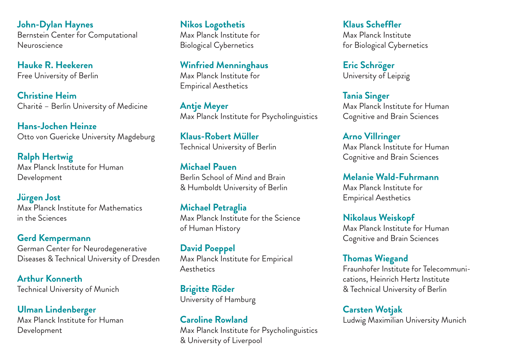**John-Dylan Haynes**  Bernstein Center for Computational Neuroscience

**Hauke R. Heekeren**  Free University of Berlin

**Christine Heim**  Charité – Berlin University of Medicine

**Hans-Jochen Heinze**  Otto von Guericke University Magdeburg

**Ralph Hertwig**  Max Planck Institute for Human Development

**Jürgen Jost**  Max Planck Institute for Mathematics in the Sciences

**Gerd Kempermann**  German Center for Neurodegenerative Diseases & Technical University of Dresden

**Arthur Konnerth**  Technical University of Munich

**Ulman Lindenberger**  Max Planck Institute for Human Development

**Nikos Logothetis**  Max Planck Institute for Biological Cybernetics

**Winfried Menninghaus**  Max Planck Institute for Empirical Aesthetics

**Antje Meyer**  Max Planck Institute for Psycholinguistics

**Klaus-Robert Müller**  Technical University of Berlin

**Michael Pauen**  Berlin School of Mind and Brain & Humboldt University of Berlin

**Michael Petraglia** Max Planck Institute for the Science of Human History

**David Poeppel**  Max Planck Institute for Empirical **A**esthetics

**Brigitte Röder** University of Hamburg

**Caroline Rowland**  Max Planck Institute for Psycholinguistics & University of Liverpool

**Klaus Scheffler**  Max Planck Institute for Biological Cybernetics

**Eric Schröger**  University of Leipzig

**Tania Singer**  Max Planck Institute for Human Cognitive and Brain Sciences

**Arno Villringer**  Max Planck Institute for Human Cognitive and Brain Sciences

**Melanie Wald-Fuhrmann**  Max Planck Institute for Empirical Aesthetics

**Nikolaus Weiskopf**  Max Planck Institute for Human Cognitive and Brain Sciences

**Thomas Wiegand** Fraunhofer Institute for Telecommunications, Heinrich Hertz Institute & Technical University of Berlin

**Carsten Wotjak**  Ludwig Maximilian University Munich